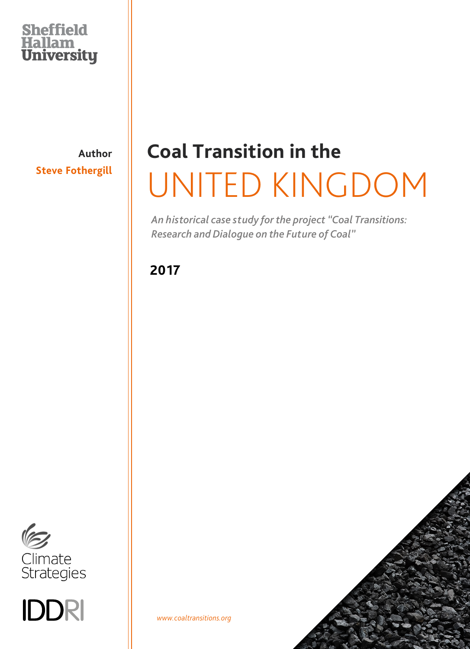### **Sheffield** Hallam<br>University

**Author Steve Fothergill**

# **Coal Transition in the** UNITED KINGDOM

*An historical case study for the project "Coal Transitions: Research and Dialogue on the Future of Coal"*

**2017**



IDDRI

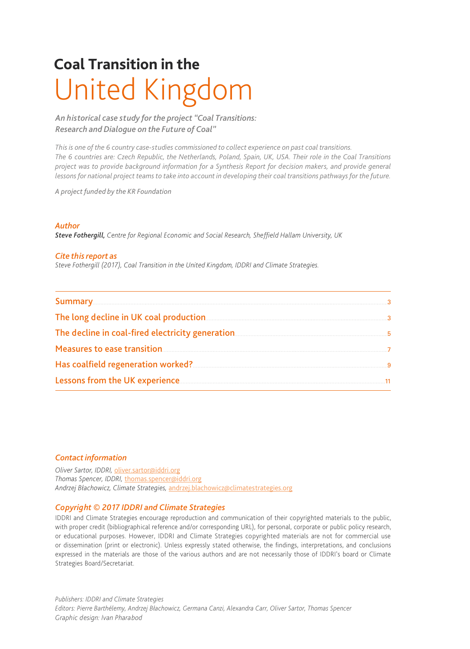## **Coal Transition in the** United Kingdom

*An historical case study for the project "Coal Transitions: Research and Dialogue on the Future of Coal"*

*This is one of the 6 country case-studies commissioned to collect experience on past coal transitions. The 6 countries are: Czech Republic, the Netherlands, Poland, Spain, UK, USA. Their role in the Coal Transitions project was to provide background information for a Synthesis Report for decision makers, and provide general lessons for national project teams to take into account in developing their coal transitions pathways for the future.*

*A project funded by the KR Foundation*

#### *Author*

*Steve Fothergill, Centre for Regional Economic and Social Research, Sheffield Hallam University, UK*

#### *Cite this report as*

*Steve Fothergill (2017), Coal Transition in the United Kingdom, IDDRI and Climate Strategies.*

| <b>Summary</b> 23 and 24 and 26 and 26 and 26 and 26 and 26 and 27 and 27 and 27 and 27 and 27 and 27 and 27 and 27 and 27 and 27 and 27 and 27 and 27 and 27 and 27 and 27 and 27 and 27 and 27 and 27 and 27 and 27 and 27 and 27 |  |
|-------------------------------------------------------------------------------------------------------------------------------------------------------------------------------------------------------------------------------------|--|
| The long decline in UK coal production <b>Exercise Constant Constant Constant Constant Constant Constant Constant</b>                                                                                                               |  |
|                                                                                                                                                                                                                                     |  |
|                                                                                                                                                                                                                                     |  |
| Has coalfield regeneration worked? 400 million worked and the summary state of the state of the state of the s                                                                                                                      |  |
|                                                                                                                                                                                                                                     |  |

#### *Contact information*

*Oliver Sartor, IDDRI,* [oliver.sartor@iddri.org](mailto:oliver.sartor@iddri.org) *Thomas Spencer, IDDRI,* [thomas.spencer@iddri.org](mailto:thomas.spencer@iddri.org) *Andrzej Błachowicz, Climate Strategies,* [andrzej.blachowicz@climatestrategies.org](mailto:andrzej.blachowicz@climatestrategies.org)

#### *Copyright © 2017 IDDRI and Climate Strategies*

IDDRI and Climate Strategies encourage reproduction and communication of their copyrighted materials to the public, with proper credit (bibliographical reference and/or corresponding URL), for personal, corporate or public policy research, or educational purposes. However, IDDRI and Climate Strategies copyrighted materials are not for commercial use or dissemination (print or electronic). Unless expressly stated otherwise, the findings, interpretations, and conclusions expressed in the materials are those of the various authors and are not necessarily those of IDDRI's board or Climate Strategies Board/Secretariat.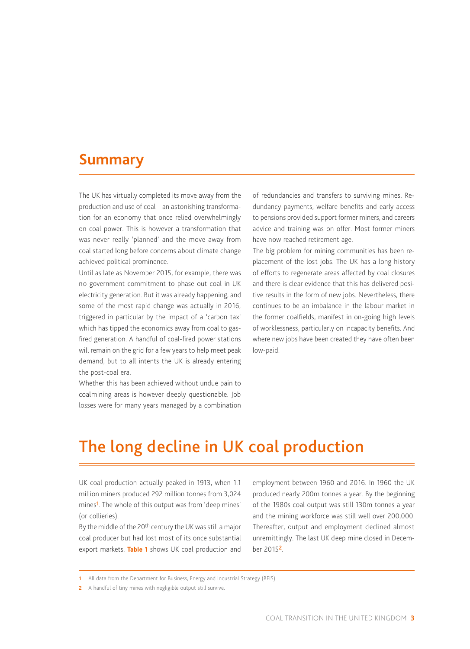#### <span id="page-2-0"></span>**Summary**

The UK has virtually completed its move away from the production and use of coal – an astonishing transformation for an economy that once relied overwhelmingly on coal power. This is however a transformation that was never really 'planned' and the move away from coal started long before concerns about climate change achieved political prominence.

Until as late as November 2015, for example, there was no government commitment to phase out coal in UK electricity generation. But it was already happening, and some of the most rapid change was actually in 2016, triggered in particular by the impact of a 'carbon tax' which has tipped the economics away from coal to gasfired generation. A handful of coal-fired power stations will remain on the grid for a few years to help meet peak demand, but to all intents the UK is already entering the post-coal era.

Whether this has been achieved without undue pain to coalmining areas is however deeply questionable. Job losses were for many years managed by a combination of redundancies and transfers to surviving mines. Redundancy payments, welfare benefits and early access to pensions provided support former miners, and careers advice and training was on offer. Most former miners have now reached retirement age.

The big problem for mining communities has been replacement of the lost jobs. The UK has a long history of efforts to regenerate areas affected by coal closures and there is clear evidence that this has delivered positive results in the form of new jobs. Nevertheless, there continues to be an imbalance in the labour market in the former coalfields, manifest in on-going high levels of worklessness, particularly on incapacity benefits. And where new jobs have been created they have often been low-paid.

### **<sup>1</sup>**The long decline in UK coal production

UK coal production actually peaked in 1913, when 1.1 million miners produced 292 million tonnes from 3,024 mines<sup>1</sup>. The whole of this output was from 'deep mines' (or collieries).

By the middle of the 20<sup>th</sup> century the UK was still a major coal producer but had lost most of its once substantial export markets. **Table 1** shows UK coal production and

employment between 1960 and 2016. In 1960 the UK produced nearly 200m tonnes a year. By the beginning of the 1980s coal output was still 130m tonnes a year and the mining workforce was still well over 200,000. Thereafter, output and employment declined almost unremittingly. The last UK deep mine closed in December 20152.

<sup>1</sup> All data from the Department for Business, Energy and Industrial Strategy (BEIS)

<sup>2</sup> A handful of tiny mines with negligible output still survive.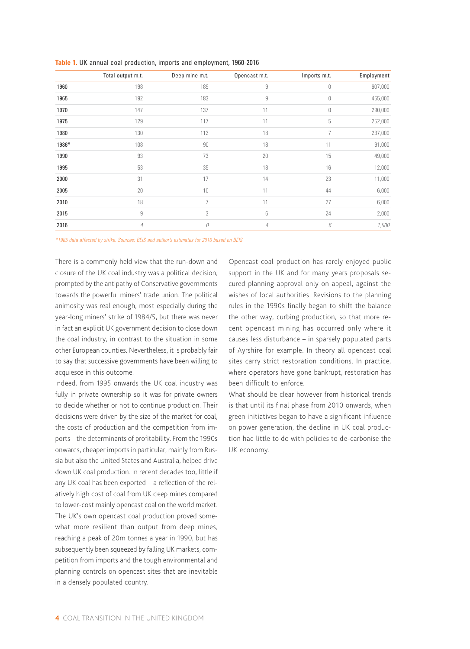|       | Total output m.t. | Deep mine m.t. | Opencast m.t. | Imports m.t. | Employment |
|-------|-------------------|----------------|---------------|--------------|------------|
| 1960  | 198               | 189            | 9             | 0            | 607,000    |
| 1965  | 192               | 183            | 9             | 0            | 455,000    |
| 1970  | 147               | 137            | 11            | 0            | 290,000    |
| 1975  | 129               | 117            | 11            | 5            | 252,000    |
| 1980  | 130               | 112            | 18            | 7            | 237,000    |
| 1986* | 108               | 90             | 18            | 11           | 91,000     |
| 1990  | 93                | 73             | 20            | 15           | 49,000     |
| 1995  | 53                | 35             | 18            | 16           | 12,000     |
| 2000  | 31                | 17             | 14            | 23           | 11,000     |
| 2005  | 20                | 10             | 11            | 44           | 6,000      |
| 2010  | 18                | 7              | 11            | 27           | 6,000      |
| 2015  | 9                 | 3              | 6             | 24           | 2,000      |
| 2016  | $\overline{4}$    | 0              | 4             | 6            | 1,000      |

**Table 1.** UK annual coal production, imports and employment, 1960-2016

*\*1985 data affected by strike. Sources: BEIS and author's estimates for 2016 based on BEIS*

There is a commonly held view that the run-down and closure of the UK coal industry was a political decision, prompted by the antipathy of Conservative governments towards the powerful miners' trade union. The political animosity was real enough, most especially during the year-long miners' strike of 1984/5, but there was never in fact an explicit UK government decision to close down the coal industry, in contrast to the situation in some other European counties. Nevertheless, it is probably fair to say that successive governments have been willing to acquiesce in this outcome.

Indeed, from 1995 onwards the UK coal industry was fully in private ownership so it was for private owners to decide whether or not to continue production. Their decisions were driven by the size of the market for coal, the costs of production and the competition from imports – the determinants of profitability. From the 1990s onwards, cheaper imports in particular, mainly from Russia but also the United States and Australia, helped drive down UK coal production. In recent decades too, little if any UK coal has been exported – a reflection of the relatively high cost of coal from UK deep mines compared to lower-cost mainly opencast coal on the world market. The UK's own opencast coal production proved somewhat more resilient than output from deep mines, reaching a peak of 20m tonnes a year in 1990, but has subsequently been squeezed by falling UK markets, competition from imports and the tough environmental and planning controls on opencast sites that are inevitable in a densely populated country.

Opencast coal production has rarely enjoyed public support in the UK and for many years proposals secured planning approval only on appeal, against the wishes of local authorities. Revisions to the planning rules in the 1990s finally began to shift the balance the other way, curbing production, so that more recent opencast mining has occurred only where it causes less disturbance – in sparsely populated parts of Ayrshire for example. In theory all opencast coal sites carry strict restoration conditions. In practice, where operators have gone bankrupt, restoration has been difficult to enforce.

What should be clear however from historical trends is that until its final phase from 2010 onwards, when green initiatives began to have a significant influence on power generation, the decline in UK coal production had little to do with policies to de-carbonise the UK economy.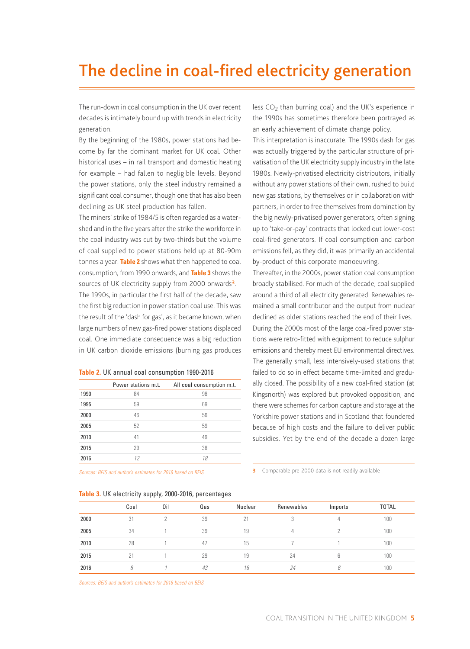### <span id="page-4-0"></span>**<sup>2</sup>**The decline in coal-fired electricity generation

The run-down in coal consumption in the UK over recent decades is intimately bound up with trends in electricity generation.

By the beginning of the 1980s, power stations had become by far the dominant market for UK coal. Other historical uses – in rail transport and domestic heating for example – had fallen to negligible levels. Beyond the power stations, only the steel industry remained a significant coal consumer, though one that has also been declining as UK steel production has fallen.

The miners' strike of 1984/5 is often regarded as a watershed and in the five years after the strike the workforce in the coal industry was cut by two-thirds but the volume of coal supplied to power stations held up at 80-90m tonnes a year. **Table 2** shows what then happened to coal consumption, from 1990 onwards, and **Table 3** shows the sources of UK electricity supply from 2000 onwards<sup>3</sup>. The 1990s, in particular the first half of the decade, saw the first big reduction in power station coal use. This was the result of the 'dash for gas', as it became known, when large numbers of new gas-fired power stations displaced coal. One immediate consequence was a big reduction in UK carbon dioxide emissions (burning gas produces

|  |  |  |  |  | Table 2. UK annual coal consumption 1990-2016 |  |
|--|--|--|--|--|-----------------------------------------------|--|
|--|--|--|--|--|-----------------------------------------------|--|

|      | Power stations m.t. | All coal consumption m.t. |
|------|---------------------|---------------------------|
| 1990 | 84                  | 96                        |
| 1995 | 59                  | 69                        |
| 2000 | 46                  | 56                        |
| 2005 | 52                  | 59                        |
| 2010 | 41                  | 49                        |
| 2015 | 29                  | 38                        |
| 2016 | 12                  | 18                        |

*Sources: BEIS and author's estimates for 2016 based on BEIS*

| Table 3. UK electricity supply, 2000-2016, percentages |  |  |
|--------------------------------------------------------|--|--|
|                                                        |  |  |

less  $CO<sub>2</sub>$  than burning coal) and the UK's experience in the 1990s has sometimes therefore been portrayed as an early achievement of climate change policy.

This interpretation is inaccurate. The 1990s dash for gas was actually triggered by the particular structure of privatisation of the UK electricity supply industry in the late 1980s. Newly-privatised electricity distributors, initially without any power stations of their own, rushed to build new gas stations, by themselves or in collaboration with partners, in order to free themselves from domination by the big newly-privatised power generators, often signing up to 'take-or-pay' contracts that locked out lower-cost coal-fired generators. If coal consumption and carbon emissions fell, as they did, it was primarily an accidental by-product of this corporate manoeuvring.

Thereafter, in the 2000s, power station coal consumption broadly stabilised. For much of the decade, coal supplied around a third of all electricity generated. Renewables remained a small contributor and the output from nuclear declined as older stations reached the end of their lives. During the 2000s most of the large coal-fired power stations were retro-fitted with equipment to reduce sulphur emissions and thereby meet EU environmental directives. The generally small, less intensively-used stations that failed to do so in effect became time-limited and gradually closed. The possibility of a new coal-fired station (at Kingsnorth) was explored but provoked opposition, and there were schemes for carbon capture and storage at the Yorkshire power stations and in Scotland that foundered because of high costs and the failure to deliver public subsidies. Yet by the end of the decade a dozen large

**3** Comparable pre-2000 data is not readily available

| $\sim$ $\sim$ $\sim$ $\sim$ $\sim$<br>. |      |     |     |         |            |         |              |
|-----------------------------------------|------|-----|-----|---------|------------|---------|--------------|
|                                         | Coal | Oil | Gas | Nuclear | Renewables | Imports | <b>TOTAL</b> |
| 2000                                    | 31   |     | 39  | 21      |            | 4       | 100          |
| 2005                                    | 34   |     | 39  | 19      | 4          |         | 100          |
| 2010                                    | 28   |     | 47  | 15      |            |         | 100          |
| 2015                                    | 21   |     | 29  | 19      | 24         | 6       | 100          |
| 2016                                    | 8    |     | 43  | 18      | 24         | ĥ       | 100          |

*Sources: BEIS and author's estimates for 2016 based on BEIS*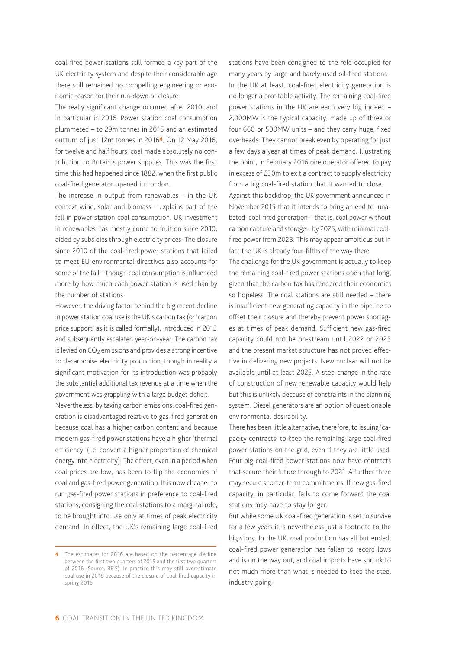coal-fired power stations still formed a key part of the UK electricity system and despite their considerable age there still remained no compelling engineering or economic reason for their run-down or closure.

The really significant change occurred after 2010, and in particular in 2016. Power station coal consumption plummeted – to 29m tonnes in 2015 and an estimated outturn of just 12m tonnes in 20164. On 12 May 2016, for twelve and half hours, coal made absolutely no contribution to Britain's power supplies. This was the first time this had happened since 1882, when the first public coal-fired generator opened in London.

The increase in output from renewables – in the UK context wind, solar and biomass – explains part of the fall in power station coal consumption. UK investment in renewables has mostly come to fruition since 2010, aided by subsidies through electricity prices. The closure since 2010 of the coal-fired power stations that failed to meet EU environmental directives also accounts for some of the fall – though coal consumption is influenced more by how much each power station is used than by the number of stations.

However, the driving factor behind the big recent decline in power station coal use is the UK's carbon tax (or 'carbon price support' as it is called formally), introduced in 2013 and subsequently escalated year-on-year. The carbon tax is levied on  $CO<sub>2</sub>$  emissions and provides a strong incentive to decarbonise electricity production, though in reality a significant motivation for its introduction was probably the substantial additional tax revenue at a time when the government was grappling with a large budget deficit.

Nevertheless, by taxing carbon emissions, coal-fired generation is disadvantaged relative to gas-fired generation because coal has a higher carbon content and because modern gas-fired power stations have a higher 'thermal efficiency' (i.e. convert a higher proportion of chemical energy into electricity). The effect, even in a period when coal prices are low, has been to flip the economics of coal and gas-fired power generation. It is now cheaper to run gas-fired power stations in preference to coal-fired stations, consigning the coal stations to a marginal role, to be brought into use only at times of peak electricity demand. In effect, the UK's remaining large coal-fired

stations have been consigned to the role occupied for many years by large and barely-used oil-fired stations. In the UK at least, coal-fired electricity generation is no longer a profitable activity. The remaining coal-fired power stations in the UK are each very big indeed – 2,000MW is the typical capacity, made up of three or four 660 or 500MW units – and they carry huge, fixed overheads. They cannot break even by operating for just a few days a year at times of peak demand. Illustrating the point, in February 2016 one operator offered to pay in excess of £30m to exit a contract to supply electricity from a big coal-fired station that it wanted to close.

Against this backdrop, the UK government announced in November 2015 that it intends to bring an end to 'unabated' coal-fired generation – that is, coal power without carbon capture and storage – by 2025, with minimal coalfired power from 2023. This may appear ambitious but in fact the UK is already four-fifths of the way there.

The challenge for the UK government is actually to keep the remaining coal-fired power stations open that long, given that the carbon tax has rendered their economics so hopeless. The coal stations are still needed – there is insufficient new generating capacity in the pipeline to offset their closure and thereby prevent power shortages at times of peak demand. Sufficient new gas-fired capacity could not be on-stream until 2022 or 2023 and the present market structure has not proved effective in delivering new projects. New nuclear will not be available until at least 2025. A step-change in the rate of construction of new renewable capacity would help but this is unlikely because of constraints in the planning system. Diesel generators are an option of questionable environmental desirability.

There has been little alternative, therefore, to issuing 'capacity contracts' to keep the remaining large coal-fired power stations on the grid, even if they are little used. Four big coal-fired power stations now have contracts that secure their future through to 2021. A further three may secure shorter-term commitments. If new gas-fired capacity, in particular, fails to come forward the coal stations may have to stay longer.

But while some UK coal-fired generation is set to survive for a few years it is nevertheless just a footnote to the big story. In the UK, coal production has all but ended, coal-fired power generation has fallen to record lows and is on the way out, and coal imports have shrunk to not much more than what is needed to keep the steel industry going.

<sup>4</sup> The estimates for 2016 are based on the percentage decline between the first two quarters of 2015 and the first two quarters of 2016 (Source: BEIS). In practice this may still overestimate coal use in 2016 because of the closure of coal-fired capacity in spring 2016.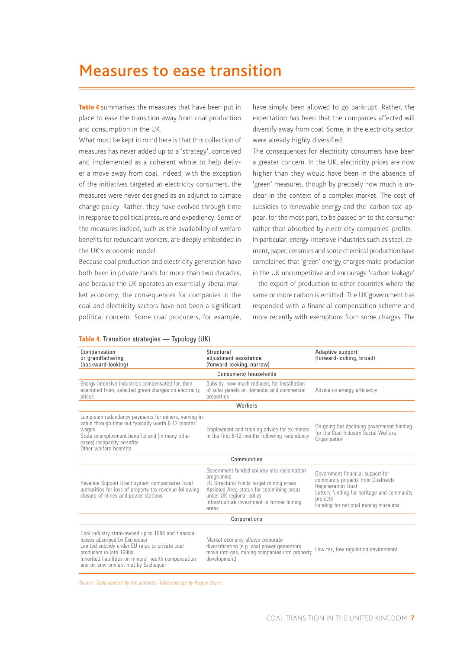### <span id="page-6-0"></span>**<sup>3</sup>**Measures to ease transition

**Table 4** summarises the measures that have been put in place to ease the transition away from coal production and consumption in the UK.

What must be kept in mind here is that this collection of measures has never added up to a 'strategy', conceived and implemented as a coherent whole to help deliver a move away from coal. Indeed, with the exception of the initiatives targeted at electricity consumers, the measures were never designed as an adjunct to climate change policy. Rather, they have evolved through time in response to political pressure and expediency. Some of the measures indeed, such as the availability of welfare benefits for redundant workers, are deeply embedded in the UK's economic model.

Because coal production and electricity generation have both been in private hands for more than two decades, and because the UK operates an essentially liberal market economy, the consequences for companies in the coal and electricity sectors have not been a significant political concern. Some coal producers, for example,

have simply been allowed to go bankrupt. Rather, the expectation has been that the companies affected will diversify away from coal. Some, in the electricity sector, were already highly diversified.

The consequences for electricity consumers have been a greater concern. In the UK, electricity prices are now higher than they would have been in the absence of 'green' measures, though by precisely how much is unclear in the context of a complex market. The cost of subsidies to renewable energy and the 'carbon tax' appear, for the most part, to be passed on to the consumer rather than absorbed by electricity companies' profits. In particular, energy-intensive industries such as steel, cement, paper, ceramics and some chemical production have complained that 'green' energy charges make production in the UK uncompetitive and encourage 'carbon leakage' – the export of production to other countries where the same or more carbon is emitted. The UK government has responded with a financial compensation scheme and more recently with exemptions from some charges. The

| Compensation<br>or grandfathering<br>(backward-looking)                                                                                                                                                                                                        | Structural<br>adjustment assistance<br>(forward-looking, narrow)                                                                                                                                                                    | Adaptive support<br>(forward-looking, broad)                                                                                                                                                         |  |  |  |
|----------------------------------------------------------------------------------------------------------------------------------------------------------------------------------------------------------------------------------------------------------------|-------------------------------------------------------------------------------------------------------------------------------------------------------------------------------------------------------------------------------------|------------------------------------------------------------------------------------------------------------------------------------------------------------------------------------------------------|--|--|--|
|                                                                                                                                                                                                                                                                | Consumers/households                                                                                                                                                                                                                |                                                                                                                                                                                                      |  |  |  |
| Energy intensive industries compensated for, then<br>exempted from, selected green charges on electricity<br>prices                                                                                                                                            | Subsidy, now much reduced, for installation<br>of solar panels on domestic and commercial<br>properties                                                                                                                             | Advice on energy efficiency                                                                                                                                                                          |  |  |  |
|                                                                                                                                                                                                                                                                | Workers                                                                                                                                                                                                                             |                                                                                                                                                                                                      |  |  |  |
| Lump-sum redundancy payments for miners, varying in<br>value through time but typically worth 6-12 months'<br>wages<br>State unemployment benefits and (in many other<br>cases) incapacity benefits<br>Other welfare benefits                                  | Employment and training advice for ex-miners<br>in the first 6-12 months following redundancy                                                                                                                                       | On-going but declining government funding<br>for the Coal Industry Social Welfare<br>Organisation                                                                                                    |  |  |  |
| Communities                                                                                                                                                                                                                                                    |                                                                                                                                                                                                                                     |                                                                                                                                                                                                      |  |  |  |
| Revenue Support Grant system compensates local<br>authorities for loss of property tax revenue following<br>closure of mines and power stations                                                                                                                | Government-funded colliery site reclamation<br>programme<br>EU Structural Funds target mining areas<br>Assisted Area status for coalmining areas<br>under UK regional policy<br>Infrastructure investment in former mining<br>areas | Government financial support for<br>community projects from Coalfields<br><b>Regeneration Trust</b><br>Lottery funding for heritage and community<br>projects<br>Funding for national mining museums |  |  |  |
| Corporations                                                                                                                                                                                                                                                   |                                                                                                                                                                                                                                     |                                                                                                                                                                                                      |  |  |  |
| Coal industry state-owned up to 1994 and financial<br>losses absorbed by Exchequer<br>Limited subsidy under EU rules to private coal<br>producers in late 1990s<br>Inherited liabilities on miners' health compensation<br>and on environment met by Exchequer | Market economy allows corporate<br>diversification (e.g. coal power generators<br>move into gas, mining companies into property<br>development)                                                                                     | Low tax, low regulation environment                                                                                                                                                                  |  |  |  |

#### **Table 4.** Transition strategies — Typology (UK)

*Source: Table content by the author(s). Table concept by Fergus Green.*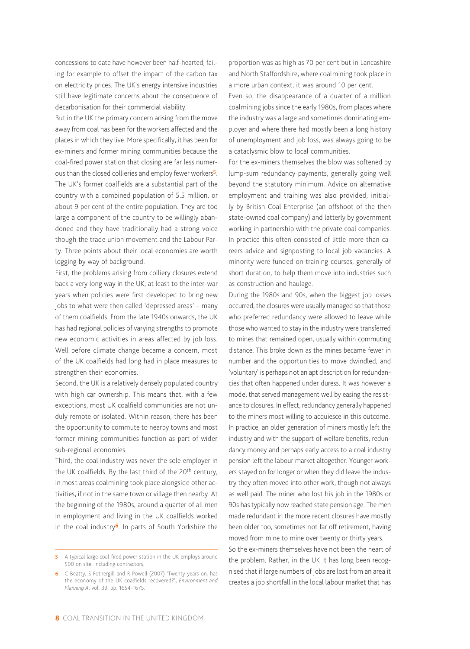concessions to date have however been half-hearted, failing for example to offset the impact of the carbon tax on electricity prices. The UK's energy intensive industries still have legitimate concerns about the consequence of decarbonisation for their commercial viability.

But in the UK the primary concern arising from the move away from coal has been for the workers affected and the places in which they live. More specifically, it has been for ex-miners and former mining communities because the coal-fired power station that closing are far less numerous than the closed collieries and employ fewer workers<sup>5</sup>. The UK's former coalfields are a substantial part of the country with a combined population of 5.5 million, or about 9 per cent of the entire population. They are too large a component of the country to be willingly abandoned and they have traditionally had a strong voice though the trade union movement and the Labour Party. Three points about their local economies are worth logging by way of background.

First, the problems arising from colliery closures extend back a very long way in the UK, at least to the inter-war years when policies were first developed to bring new jobs to what were then called 'depressed areas' – many of them coalfields. From the late 1940s onwards, the UK has had regional policies of varying strengths to promote new economic activities in areas affected by job loss. Well before climate change became a concern, most of the UK coalfields had long had in place measures to strengthen their economies.

Second, the UK is a relatively densely populated country with high car ownership. This means that, with a few exceptions, most UK coalfield communities are not unduly remote or isolated. Within reason, there has been the opportunity to commute to nearby towns and most former mining communities function as part of wider sub-regional economies.

Third, the coal industry was never the sole employer in the UK coalfields. By the last third of the 20th century, in most areas coalmining took place alongside other activities, if not in the same town or village then nearby. At the beginning of the 1980s, around a quarter of all men in employment and living in the UK coalfields worked in the coal industry<sup>6</sup>. In parts of South Yorkshire the proportion was as high as 70 per cent but in Lancashire and North Staffordshire, where coalmining took place in a more urban context, it was around 10 per cent. Even so, the disappearance of a quarter of a million coalmining jobs since the early 1980s, from places where the industry was a large and sometimes dominating employer and where there had mostly been a long history of unemployment and job loss, was always going to be a cataclysmic blow to local communities.

For the ex-miners themselves the blow was softened by lump-sum redundancy payments, generally going well beyond the statutory minimum. Advice on alternative employment and training was also provided, initially by British Coal Enterprise (an offshoot of the then state-owned coal company) and latterly by government working in partnership with the private coal companies. In practice this often consisted of little more than careers advice and signposting to local job vacancies. A minority were funded on training courses, generally of short duration, to help them move into industries such as construction and haulage.

During the 1980s and 90s, when the biggest job losses occurred, the closures were usually managed so that those who preferred redundancy were allowed to leave while those who wanted to stay in the industry were transferred to mines that remained open, usually within commuting distance. This broke down as the mines became fewer in number and the opportunities to move dwindled, and 'voluntary' is perhaps not an apt description for redundancies that often happened under duress. It was however a model that served management well by easing the resistance to closures. In effect, redundancy generally happened to the miners most willing to acquiesce in this outcome. In practice, an older generation of miners mostly left the industry and with the support of welfare benefits, redundancy money and perhaps early access to a coal industry pension left the labour market altogether. Younger workers stayed on for longer or when they did leave the industry they often moved into other work, though not always as well paid. The miner who lost his job in the 1980s or 90s has typically now reached state pension age. The men made redundant in the more recent closures have mostly been older too, sometimes not far off retirement, having moved from mine to mine over twenty or thirty years.

So the ex-miners themselves have not been the heart of the problem. Rather, in the UK it has long been recognised that if large numbers of jobs are lost from an area it creates a job shortfall in the local labour market that has

<sup>5</sup> A typical large coal-fired power station in the UK employs around 500 on site, including contractors.

<sup>6</sup> C Beatty, S Fothergill and R Powell (2007) 'Twenty years on: has the economy of the UK coalfields recovered?', *Environment and Planning A*, vol. 39, pp. 1654-1675.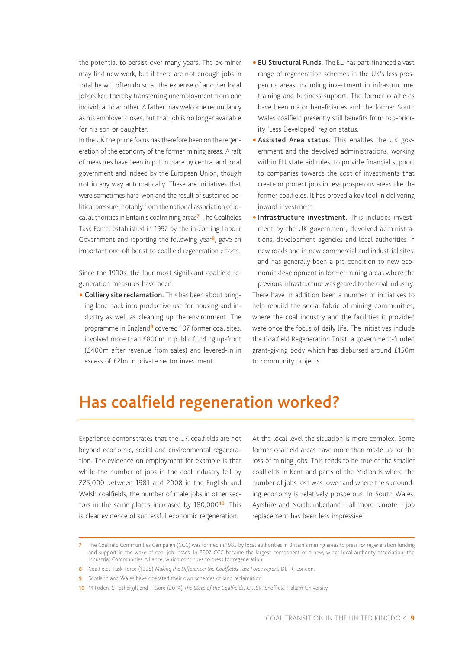<span id="page-8-0"></span>the potential to persist over many years. The ex-miner may find new work, but if there are not enough jobs in total he will often do so at the expense of another local jobseeker, thereby transferring unemployment from one individual to another. A father may welcome redundancy as his employer closes, but that job is no longer available for his son or daughter.

In the UK the prime focus has therefore been on the regeneration of the economy of the former mining areas. A raft of measures have been in put in place by central and local government and indeed by the European Union, though not in any way automatically. These are initiatives that were sometimes hard-won and the result of sustained political pressure, notably from the national association of local authorities in Britain's coalmining areas<sup>7</sup>. The Coalfields Task Force, established in 1997 by the in-coming Labour Government and reporting the following year $\frac{8}{3}$ , gave an important one-off boost to coalfield regeneration efforts.

Since the 1990s, the four most significant coalfield regeneration measures have been:

• Colliery site reclamation. This has been about bringing land back into productive use for housing and industry as well as cleaning up the environment. The programme in England<sup>9</sup> covered 107 former coal sites, involved more than £800m in public funding up-front (£400m after revenue from sales) and levered-in in excess of £2bn in private sector investment.

- **EU Structural Funds.** The EU has part-financed a vast range of regeneration schemes in the UK's less prosperous areas, including investment in infrastructure, training and business support. The former coalfields have been major beneficiaries and the former South Wales coalfield presently still benefits from top-priority 'Less Developed' region status.
- Assisted Area status. This enables the UK government and the devolved administrations, working within EU state aid rules, to provide financial support to companies towards the cost of investments that create or protect jobs in less prosperous areas like the former coalfields. It has proved a key tool in delivering inward investment.
- **Infrastructure investment**. This includes investment by the UK government, devolved administrations, development agencies and local authorities in new roads and in new commercial and industrial sites, and has generally been a pre-condition to new economic development in former mining areas where the previous infrastructure was geared to the coal industry. There have in addition been a number of initiatives to help rebuild the social fabric of mining communities, where the coal industry and the facilities it provided were once the focus of daily life. The initiatives include the Coalfield Regeneration Trust, a government-funded grant-giving body which has disbursed around £150m to community projects.

### **<sup>4</sup>**Has coalfield regeneration worked?

Experience demonstrates that the UK coalfields are not beyond economic, social and environmental regeneration. The evidence on employment for example is that while the number of jobs in the coal industry fell by 225,000 between 1981 and 2008 in the English and Welsh coalfields, the number of male jobs in other sectors in the same places increased by 180,000<sup>10</sup>. This is clear evidence of successful economic regeneration.

At the local level the situation is more complex. Some former coalfield areas have more than made up for the loss of mining jobs. This tends to be true of the smaller coalfields in Kent and parts of the Midlands where the number of jobs lost was lower and where the surrounding economy is relatively prosperous. In South Wales, Ayrshire and Northumberland – all more remote – job replacement has been less impressive.

- 8 Coalfields Task Force (1998) *Making the Difference: the Coalfields Task Force report*, DETR, London.
- 9 Scotland and Wales have operated their own schemes of land reclamation
- 10 M Foden, S Fothergill and T Gore (2014) *The State of the Coalfields*, CRESR, Sheffield Hallam University

<sup>7</sup> The Coalfield Communities Campaign (CCC) was formed in 1985 by local authorities in Britain's mining areas to press for regeneration funding and support in the wake of coal job losses. In 2007 CCC became the largest component of a new, wider local authority association, the Industrial Communities Alliance, which continues to press for regeneration.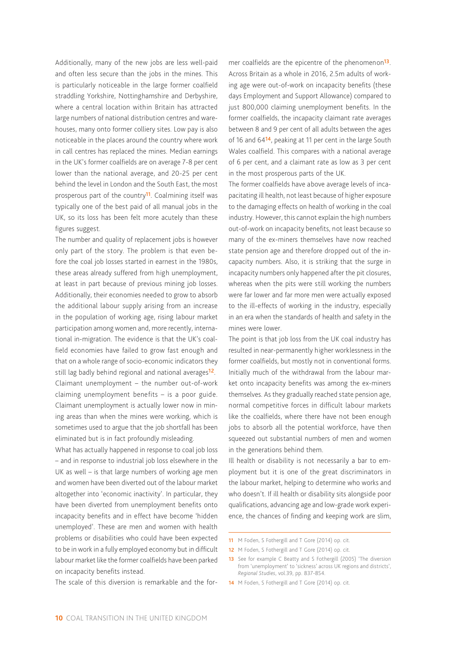Additionally, many of the new jobs are less well-paid and often less secure than the jobs in the mines. This is particularly noticeable in the large former coalfield straddling Yorkshire, Nottinghamshire and Derbyshire, where a central location within Britain has attracted large numbers of national distribution centres and warehouses, many onto former colliery sites. Low pay is also noticeable in the places around the country where work in call centres has replaced the mines. Median earnings in the UK's former coalfields are on average 7-8 per cent lower than the national average, and 20-25 per cent behind the level in London and the South East, the most prosperous part of the country<sup>11</sup>. Coalmining itself was typically one of the best paid of all manual jobs in the UK, so its loss has been felt more acutely than these figures suggest.

The number and quality of replacement jobs is however only part of the story. The problem is that even before the coal job losses started in earnest in the 1980s, these areas already suffered from high unemployment, at least in part because of previous mining job losses. Additionally, their economies needed to grow to absorb the additional labour supply arising from an increase in the population of working age, rising labour market participation among women and, more recently, international in-migration. The evidence is that the UK's coalfield economies have failed to grow fast enough and that on a whole range of socio-economic indicators they still lag badly behind regional and national averages<sup>12</sup>. Claimant unemployment – the number out-of-work claiming unemployment benefits – is a poor guide. Claimant unemployment is actually lower now in mining areas than when the mines were working, which is sometimes used to argue that the job shortfall has been eliminated but is in fact profoundly misleading.

What has actually happened in response to coal job loss – and in response to industrial job loss elsewhere in the UK as well – is that large numbers of working age men and women have been diverted out of the labour market altogether into 'economic inactivity'. In particular, they have been diverted from unemployment benefits onto incapacity benefits and in effect have become 'hidden unemployed'. These are men and women with health problems or disabilities who could have been expected to be in work in a fully employed economy but in difficult labour market like the former coalfields have been parked on incapacity benefits instead.

The scale of this diversion is remarkable and the for-

mer coalfields are the epicentre of the phenomenon<sup>13</sup>. Across Britain as a whole in 2016, 2.5m adults of working age were out-of-work on incapacity benefits (these days Employment and Support Allowance) compared to just 800,000 claiming unemployment benefits. In the former coalfields, the incapacity claimant rate averages between 8 and 9 per cent of all adults between the ages of 16 and 6414, peaking at 11 per cent in the large South Wales coalfield. This compares with a national average of 6 per cent, and a claimant rate as low as 3 per cent in the most prosperous parts of the UK.

The former coalfields have above average levels of incapacitating ill health, not least because of higher exposure to the damaging effects on health of working in the coal industry. However, this cannot explain the high numbers out-of-work on incapacity benefits, not least because so many of the ex-miners themselves have now reached state pension age and therefore dropped out of the incapacity numbers. Also, it is striking that the surge in incapacity numbers only happened after the pit closures, whereas when the pits were still working the numbers were far lower and far more men were actually exposed to the ill-effects of working in the industry, especially in an era when the standards of health and safety in the mines were lower.

The point is that job loss from the UK coal industry has resulted in near-permanently higher worklessness in the former coalfields, but mostly not in conventional forms. Initially much of the withdrawal from the labour market onto incapacity benefits was among the ex-miners themselves. As they gradually reached state pension age, normal competitive forces in difficult labour markets like the coalfields, where there have not been enough jobs to absorb all the potential workforce, have then squeezed out substantial numbers of men and women in the generations behind them.

Ill health or disability is not necessarily a bar to employment but it is one of the great discriminators in the labour market, helping to determine who works and who doesn't. If ill health or disability sits alongside poor qualifications, advancing age and low-grade work experience, the chances of finding and keeping work are slim,

12 M Foden, S Fothergill and T Gore (2014) op. cit.

14 M Foden, S Fothergill and T Gore (2014) op. cit.

<sup>11</sup> M Foden, S Fothergill and T Gore (2014) op. cit.

<sup>13</sup> See for example C Beatty and S Fothergill (2005) 'The diversion from 'unemployment' to 'sickness' across UK regions and districts', *Regional Studies*, vol.39, pp. 837-854.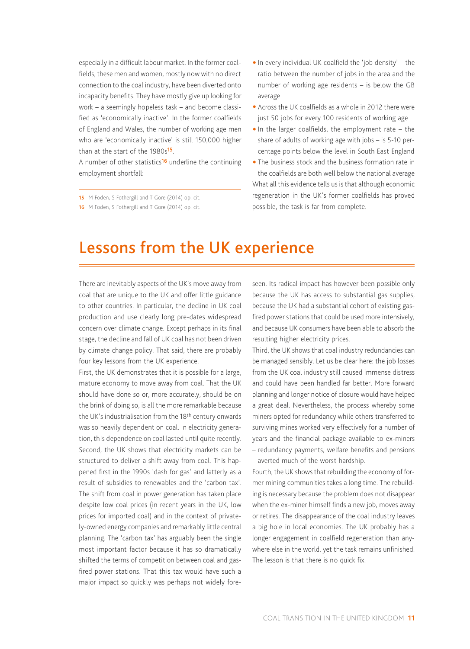<span id="page-10-0"></span>especially in a difficult labour market. In the former coalfields, these men and women, mostly now with no direct connection to the coal industry, have been diverted onto incapacity benefits. They have mostly give up looking for work – a seemingly hopeless task – and become classified as 'economically inactive'. In the former coalfields of England and Wales, the number of working age men who are 'economically inactive' is still 150,000 higher than at the start of the 1980s<sup>15</sup>.

A number of other statistics<sup>16</sup> underline the continuing employment shortfall:

15 M Foden, S Fothergill and T Gore (2014) op. cit. 16 M Foden, S Fothergill and T Gore (2014) op. cit.

- $\bullet$  In every individual UK coalfield the 'job density' the ratio between the number of jobs in the area and the number of working age residents – is below the GB average
- Across the UK coalfields as a whole in 2012 there were just 50 jobs for every 100 residents of working age
- $\bullet$  In the larger coalfields, the employment rate the share of adults of working age with jobs – is 5-10 percentage points below the level in South East England
- The business stock and the business formation rate in the coalfields are both well below the national average What all this evidence tells us is that although economic regeneration in the UK's former coalfields has proved possible, the task is far from complete.

### **<sup>5</sup>**Lessons from the UK experience

There are inevitably aspects of the UK's move away from coal that are unique to the UK and offer little guidance to other countries. In particular, the decline in UK coal production and use clearly long pre-dates widespread concern over climate change. Except perhaps in its final stage, the decline and fall of UK coal has not been driven by climate change policy. That said, there are probably four key lessons from the UK experience.

First, the UK demonstrates that it is possible for a large, mature economy to move away from coal. That the UK should have done so or, more accurately, should be on the brink of doing so, is all the more remarkable because the UK's industrialisation from the 18th century onwards was so heavily dependent on coal. In electricity generation, this dependence on coal lasted until quite recently. Second, the UK shows that electricity markets can be structured to deliver a shift away from coal. This happened first in the 1990s 'dash for gas' and latterly as a result of subsidies to renewables and the 'carbon tax'. The shift from coal in power generation has taken place despite low coal prices (in recent years in the UK, low prices for imported coal) and in the context of privately-owned energy companies and remarkably little central planning. The 'carbon tax' has arguably been the single most important factor because it has so dramatically shifted the terms of competition between coal and gasfired power stations. That this tax would have such a major impact so quickly was perhaps not widely foreseen. Its radical impact has however been possible only because the UK has access to substantial gas supplies, because the UK had a substantial cohort of existing gasfired power stations that could be used more intensively, and because UK consumers have been able to absorb the resulting higher electricity prices.

Third, the UK shows that coal industry redundancies can be managed sensibly. Let us be clear here: the job losses from the UK coal industry still caused immense distress and could have been handled far better. More forward planning and longer notice of closure would have helped a great deal. Nevertheless, the process whereby some miners opted for redundancy while others transferred to surviving mines worked very effectively for a number of years and the financial package available to ex-miners – redundancy payments, welfare benefits and pensions – averted much of the worst hardship.

Fourth, the UK shows that rebuilding the economy of former mining communities takes a long time. The rebuilding is necessary because the problem does not disappear when the ex-miner himself finds a new job, moves away or retires. The disappearance of the coal industry leaves a big hole in local economies. The UK probably has a longer engagement in coalfield regeneration than anywhere else in the world, yet the task remains unfinished. The lesson is that there is no quick fix.